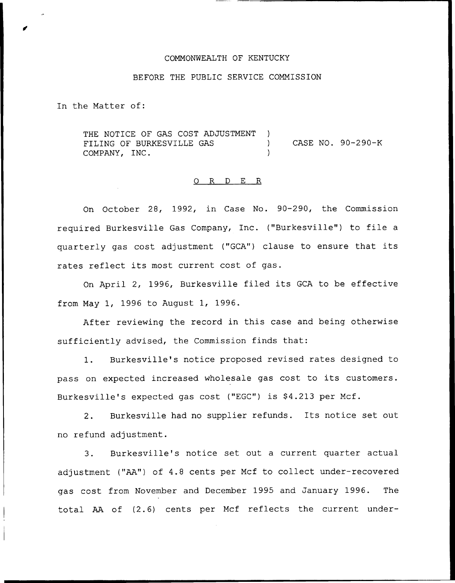#### COMMONWEALTH OF KENTUCKY

# BEFORE THE PUBLIC SERVICE COMMISSION

In the Matter of:

THE NOTICE OF GAS COST ADJUSTMENT ) FILING OF BURKESVILLE GAS ) COMPANY, INC. CASE NO. 90-290-K

### 0 R <sup>D</sup> E R

On October 28, 1992, in Case No. 90-290, the Commission required Burkesville Gas Company, Inc. ("Burkesville") to file <sup>a</sup> quarterly gas cost adjustment ("GCA") clause to ensure that its rates reflect its most current cost of gas.

On April 2, 1996, Burkesville filed its GCA to be effective from May 1, 1996 to August 1, 1996.

After reviewing the record in this case and being otherwise sufficiently advised, the Commission finds that:

1. Burkesville's notice proposed revised rates designed to pass on expected increased wholesale gas cost to its customers. Burkesville's expected gas cost ("EGC") is \$4.213 per Mcf.

2. Burkesville had no supplier refunds. Its notice set out no refund adjustment.

3. Burkesville's notice set out a current quarter actual adjustment ("AA") of 4.8 cents per Mcf to collect under-recovered gas cost from November and December 1995 and January 1996. The total AA of (2.6) cents per Mcf reflects the current under-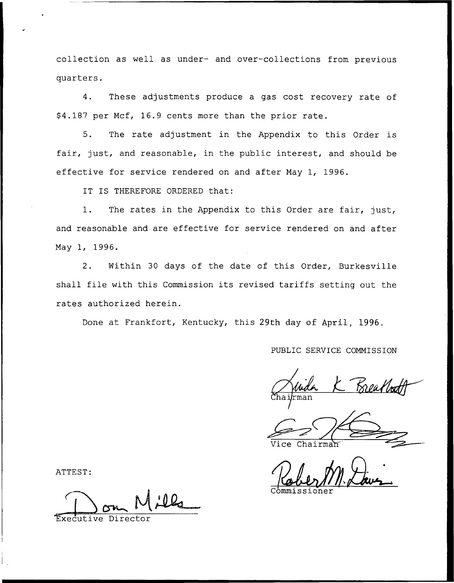collection as well as under- and over-collections from previous quarters.

4. These adjustments produce a gas cost recovery rate of 94.187 per Mcf, 16.9 cents more than the prior rate.

5. The rate adjustment in the Appendix to this Order is fair, just, and reasonable, in the public interest, and should be effective for service rendered on and after May 1, 1996.

IT IS THEREFORE ORDERED that:

1. The rates in the Appendix to this Order are fair, just, and reasonable and are effective for service rendered on and after May 1, 1996.

2. Within 30 days of the date of this Order, Burkesville shall file with this Commission its revised tariffs setting out the rates authorized herein.

Done at Frankfort, Kentucky, this 29th day of April, 1996.

PUBLIC SERVICE COMMISSION

 $Chai/rma$ 

Vice Chairma

Commissione

ATTEST:

Executive